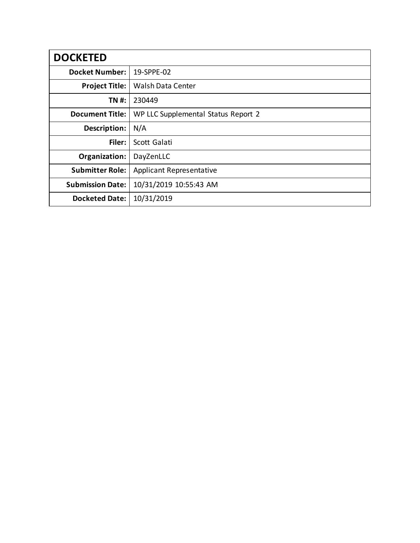| <b>DOCKETED</b>         |                                     |
|-------------------------|-------------------------------------|
| <b>Docket Number:</b>   | 19-SPPE-02                          |
| <b>Project Title:</b>   | <b>Walsh Data Center</b>            |
| TN #:                   | 230449                              |
| <b>Document Title:</b>  | WP LLC Supplemental Status Report 2 |
| Description:            | N/A                                 |
| Filer:                  | Scott Galati                        |
| Organization:           | DayZenLLC                           |
| <b>Submitter Role:</b>  | <b>Applicant Representative</b>     |
| <b>Submission Date:</b> | 10/31/2019 10:55:43 AM              |
| <b>Docketed Date:</b>   | 10/31/2019                          |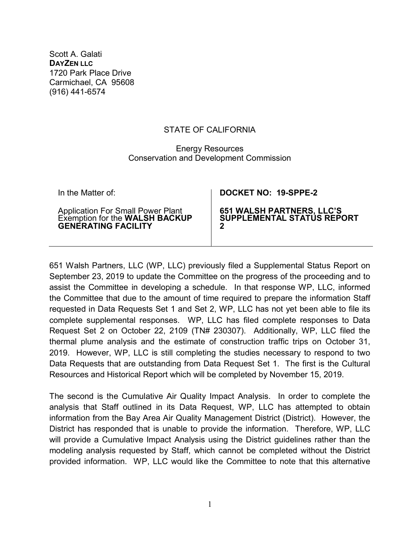Scott A. Galati **DAYZEN LLC** 1720 Park Place Drive Carmichael, CA 95608 (916) 441-6574

## STATE OF CALIFORNIA

## Energy Resources Conservation and Development Commission

| In the Matter of:                                                                                 | DOCKET NO: 19-SPPE-2                                         |
|---------------------------------------------------------------------------------------------------|--------------------------------------------------------------|
| Application For Small Power Plant<br>Exemption for the WALSH BACKUP<br><b>GENERATING FACILITY</b> | 651 WALSH PARTNERS, LLC'S<br>SUPPLEMENTAL STATUS REPORT<br>Ω |

651 Walsh Partners, LLC (WP, LLC) previously filed a Supplemental Status Report on September 23, 2019 to update the Committee on the progress of the proceeding and to assist the Committee in developing a schedule. In that response WP, LLC, informed the Committee that due to the amount of time required to prepare the information Staff requested in Data Requests Set 1 and Set 2, WP, LLC has not yet been able to file its complete supplemental responses. WP, LLC has filed complete responses to Data Request Set 2 on October 22, 2109 (TN# 230307). Additionally, WP, LLC filed the thermal plume analysis and the estimate of construction traffic trips on October 31, 2019. However, WP, LLC is still completing the studies necessary to respond to two Data Requests that are outstanding from Data Request Set 1. The first is the Cultural Resources and Historical Report which will be completed by November 15, 2019.

The second is the Cumulative Air Quality Impact Analysis. In order to complete the analysis that Staff outlined in its Data Request, WP, LLC has attempted to obtain information from the Bay Area Air Quality Management District (District). However, the District has responded that is unable to provide the information. Therefore, WP, LLC will provide a Cumulative Impact Analysis using the District guidelines rather than the modeling analysis requested by Staff, which cannot be completed without the District provided information. WP, LLC would like the Committee to note that this alternative